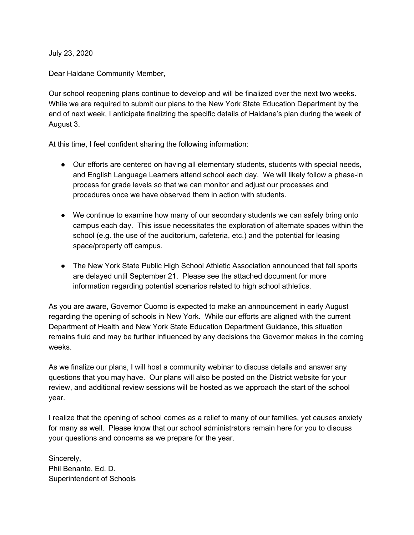July 23, 2020

Dear Haldane Community Member,

Our school reopening plans continue to develop and will be finalized over the next two weeks. While we are required to submit our plans to the New York State Education Department by the end of next week, I anticipate finalizing the specific details of Haldane's plan during the week of August 3.

At this time, I feel confident sharing the following information:

- Our efforts are centered on having all elementary students, students with special needs, and English Language Learners attend school each day. We will likely follow a phase-in process for grade levels so that we can monitor and adjust our processes and procedures once we have observed them in action with students.
- We continue to examine how many of our secondary students we can safely bring onto campus each day. This issue necessitates the exploration of alternate spaces within the school (e.g. the use of the auditorium, cafeteria, etc.) and the potential for leasing space/property off campus.
- The New York State Public High School Athletic Association announced that fall sports are delayed until September 21. Please see the attached document for more information regarding potential scenarios related to high school athletics.

As you are aware, Governor Cuomo is expected to make an announcement in early August regarding the opening of schools in New York. While our efforts are aligned with the current Department of Health and New York State Education Department Guidance, this situation remains fluid and may be further influenced by any decisions the Governor makes in the coming weeks.

As we finalize our plans, I will host a community webinar to discuss details and answer any questions that you may have. Our plans will also be posted on the District website for your review, and additional review sessions will be hosted as we approach the start of the school year.

I realize that the opening of school comes as a relief to many of our families, yet causes anxiety for many as well. Please know that our school administrators remain here for you to discuss your questions and concerns as we prepare for the year.

Sincerely, Phil Benante, Ed. D. Superintendent of Schools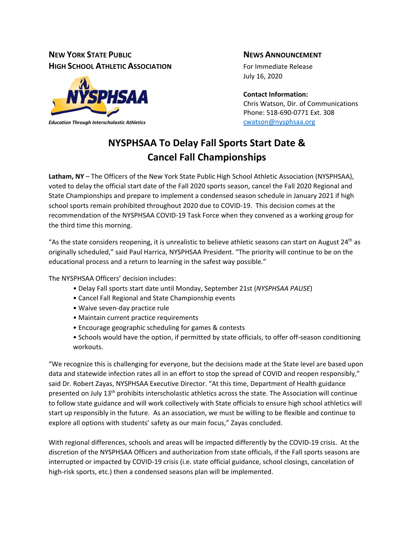## **NEW YORK STATE PUBLIC NEWS ANNOUNCEMENT HIGH SCHOOL ATHLETIC ASSOCIATION** For Immediate Release



*Education Through Interscholastic Athletics* [cwatson@nysphsaa.org](mailto:cwatson@nysphsaa.org)

July 16, 2020

**Contact Information:** Chris Watson, Dir. of Communications Phone: 518-690-0771 Ext. 308

# **NYSPHSAA To Delay Fall Sports Start Date & Cancel Fall Championships**

**Latham, NY** – The Officers of the New York State Public High School Athletic Association (NYSPHSAA), voted to delay the official start date of the Fall 2020 sports season, cancel the Fall 2020 Regional and State Championships and prepare to implement a condensed season schedule in January 2021 if high school sports remain prohibited throughout 2020 due to COVID-19. This decision comes at the recommendation of the NYSPHSAA COVID-19 Task Force when they convened as a working group for the third time this morning.

"As the state considers reopening, it is unrealistic to believe athletic seasons can start on August 24<sup>th</sup> as originally scheduled," said Paul Harrica, NYSPHSAA President. "The priority will continue to be on the educational process and a return to learning in the safest way possible."

The NYSPHSAA Officers' decision includes:

- Delay Fall sports start date until Monday, September 21st (*NYSPHSAA PAUSE*)
- Cancel Fall Regional and State Championship events
- Waive seven-day practice rule
- Maintain current practice requirements
- Encourage geographic scheduling for games & contests
- Schools would have the option, if permitted by state officials, to offer off-season conditioning workouts.

"We recognize this is challenging for everyone, but the decisions made at the State level are based upon data and statewide infection rates all in an effort to stop the spread of COVID and reopen responsibly," said Dr. Robert Zayas, NYSPHSAA Executive Director. "At this time, Department of Health guidance presented on July 13<sup>th</sup> prohibits interscholastic athletics across the state. The Association will continue to follow state guidance and will work collectively with State officials to ensure high school athletics will start up responsibly in the future. As an association, we must be willing to be flexible and continue to explore all options with students' safety as our main focus," Zayas concluded.

With regional differences, schools and areas will be impacted differently by the COVID-19 crisis. At the discretion of the NYSPHSAA Officers and authorization from state officials, if the Fall sports seasons are interrupted or impacted by COVID-19 crisis (i.e. state official guidance, school closings, cancelation of high-risk sports, etc.) then a condensed seasons plan will be implemented.